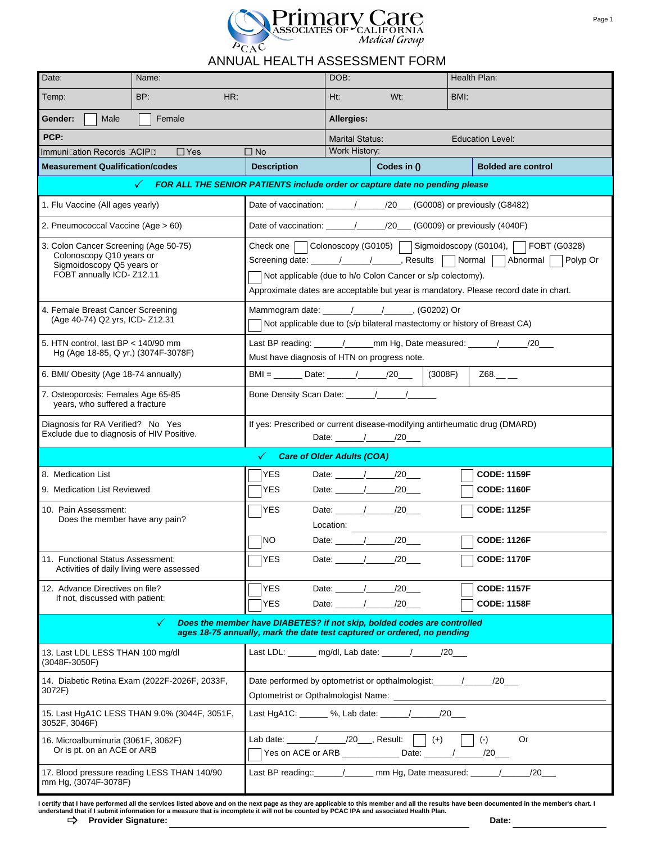

## ANNUAL HEALTH ASSESSMENT FORM

|                                                                                                                                                                                                                        |                                                                                                      | ANNUAL HEALTH ASSESSMENT FORM                                                                                                                                                                                                                                                                                |                                                                    | Primary Care<br>ASSOCIATES OF CALIFORNIA<br>Medical Group |                                          | Page 1 |  |  |
|------------------------------------------------------------------------------------------------------------------------------------------------------------------------------------------------------------------------|------------------------------------------------------------------------------------------------------|--------------------------------------------------------------------------------------------------------------------------------------------------------------------------------------------------------------------------------------------------------------------------------------------------------------|--------------------------------------------------------------------|-----------------------------------------------------------|------------------------------------------|--------|--|--|
| Date:                                                                                                                                                                                                                  | Name:                                                                                                |                                                                                                                                                                                                                                                                                                              | DOB:                                                               |                                                           | Health Plan:                             |        |  |  |
| Temp:                                                                                                                                                                                                                  | BP:<br>HR:                                                                                           |                                                                                                                                                                                                                                                                                                              | Ht:                                                                | $Wt$ :                                                    | BMI:                                     |        |  |  |
| Gender:<br>Male                                                                                                                                                                                                        | Female                                                                                               |                                                                                                                                                                                                                                                                                                              |                                                                    |                                                           |                                          |        |  |  |
| PCP:                                                                                                                                                                                                                   |                                                                                                      |                                                                                                                                                                                                                                                                                                              | Allergies:                                                         |                                                           |                                          |        |  |  |
| Immunization Records (ACIP):                                                                                                                                                                                           | $\Box$ Yes                                                                                           | $\Box$ No                                                                                                                                                                                                                                                                                                    | <b>Marital Status:</b><br><b>Education Level:</b><br>Work History: |                                                           |                                          |        |  |  |
| <b>Measurement Qualification/codes</b>                                                                                                                                                                                 |                                                                                                      | <b>Description</b>                                                                                                                                                                                                                                                                                           |                                                                    | Codes in ()                                               | <b>Bolded are control</b>                |        |  |  |
|                                                                                                                                                                                                                        | FOR ALL THE SENIOR PATIENTS include order or capture date no pending please                          |                                                                                                                                                                                                                                                                                                              |                                                                    |                                                           |                                          |        |  |  |
| 1. Flu Vaccine (All ages yearly)                                                                                                                                                                                       |                                                                                                      | Date of vaccination: _____/_____/20___ (G0008) or previously (G8482)                                                                                                                                                                                                                                         |                                                                    |                                                           |                                          |        |  |  |
| 2. Pneumococcal Vaccine (Age > 60)                                                                                                                                                                                     |                                                                                                      | Date of vaccination: _____/____/20___(G0009) or previously (4040F)                                                                                                                                                                                                                                           |                                                                    |                                                           |                                          |        |  |  |
| 3. Colon Cancer Screening (Age 50-75)<br>Colonoscopy Q10 years or<br>Sigmoidoscopy Q5 years or<br>FOBT annually ICD- Z12.11                                                                                            |                                                                                                      | Colonoscopy (G0105)<br>Sigmoidoscopy (G0104),<br>FOBT (G0328)<br>Check one<br>Screening date: \_____/ \_____/ Results   Normal<br>Abnormal<br>Polyp Or<br>Not applicable (due to h/o Colon Cancer or s/p colectomy).<br>Approximate dates are acceptable but year is mandatory. Please record date in chart. |                                                                    |                                                           |                                          |        |  |  |
| 4. Female Breast Cancer Screening<br>(Age 40-74) Q2 yrs, ICD- Z12.31                                                                                                                                                   |                                                                                                      | Mammogram date: ______/_____/_________, (G0202) Or<br>Not applicable due to (s/p bilateral mastectomy or history of Breast CA)                                                                                                                                                                               |                                                                    |                                                           |                                          |        |  |  |
| 5. HTN control, last BP < 140/90 mm<br>Hg (Age 18-85, Q yr.) (3074F-3078F)                                                                                                                                             |                                                                                                      | Last BP reading: \_____/ ______ mm Hg, Date measured: \_____/ _____/20___<br>Must have diagnosis of HTN on progress note.                                                                                                                                                                                    |                                                                    |                                                           |                                          |        |  |  |
| 6. BMI/ Obesity (Age 18-74 annually)                                                                                                                                                                                   | $BMI =$ Date: $/20$<br>(3008F)<br>$Z68$ .                                                            |                                                                                                                                                                                                                                                                                                              |                                                                    |                                                           |                                          |        |  |  |
| 7. Osteoporosis: Females Age 65-85<br>years, who suffered a fracture                                                                                                                                                   |                                                                                                      |                                                                                                                                                                                                                                                                                                              |                                                                    |                                                           |                                          |        |  |  |
| Diagnosis for RA Verified? No Yes<br>Exclude due to diagnosis of HIV Positive.                                                                                                                                         | If yes: Prescribed or current disease-modifying antirheumatic drug (DMARD)                           |                                                                                                                                                                                                                                                                                                              |                                                                    |                                                           |                                          |        |  |  |
|                                                                                                                                                                                                                        |                                                                                                      | <b>Care of Older Adults (COA)</b>                                                                                                                                                                                                                                                                            |                                                                    |                                                           |                                          |        |  |  |
| 8. Medication List                                                                                                                                                                                                     |                                                                                                      | <b>YES</b>                                                                                                                                                                                                                                                                                                   |                                                                    | Date: // /20                                              | <b>CODE: 1159F</b>                       |        |  |  |
| 9. Medication List Reviewed                                                                                                                                                                                            | YES.                                                                                                 |                                                                                                                                                                                                                                                                                                              | Date: // /20_                                                      | <b>CODE: 1160F</b>                                        |                                          |        |  |  |
| 10. Pain Assessment:<br>Does the member have any pain?                                                                                                                                                                 |                                                                                                      | <b>YES</b>                                                                                                                                                                                                                                                                                                   | Location:                                                          | Date: 1 / 20                                              | <b>CODE: 1125F</b>                       |        |  |  |
|                                                                                                                                                                                                                        |                                                                                                      | <b>NO</b>                                                                                                                                                                                                                                                                                                    |                                                                    |                                                           | <b>CODE: 1126F</b>                       |        |  |  |
| 11. Functional Status Assessment:<br>Activities of daily living were assessed                                                                                                                                          |                                                                                                      | <b>YES</b>                                                                                                                                                                                                                                                                                                   |                                                                    | Date: 1 /20                                               | <b>CODE: 1170F</b>                       |        |  |  |
| 12. Advance Directives on file?<br>If not, discussed with patient:                                                                                                                                                     |                                                                                                      | <b>YES</b><br><b>YES</b>                                                                                                                                                                                                                                                                                     |                                                                    | Date: $\frac{1}{20}$                                      | <b>CODE: 1157F</b><br><b>CODE: 1158F</b> |        |  |  |
| Does the member have DIABETES? if not skip, bolded codes are controlled<br>$\checkmark$<br>ages 18-75 annually, mark the date test captured or ordered, no pending                                                     |                                                                                                      |                                                                                                                                                                                                                                                                                                              |                                                                    |                                                           |                                          |        |  |  |
| 13. Last LDL LESS THAN 100 mg/dl<br>(3048F-3050F)                                                                                                                                                                      |                                                                                                      | Last LDL: _______ mg/dl, Lab date: ______/ _____/20___                                                                                                                                                                                                                                                       |                                                                    |                                                           |                                          |        |  |  |
| 3072F)                                                                                                                                                                                                                 | 14. Diabetic Retina Exam (2022F-2026F, 2033F,                                                        | Date performed by optometrist or opthalmologist: ________________________________                                                                                                                                                                                                                            |                                                                    |                                                           |                                          |        |  |  |
| 3052F, 3046F)                                                                                                                                                                                                          | Last HgA1C: _______ %, Lab date: ______/______/20___<br>15. Last HgA1C LESS THAN 9.0% (3044F, 3051F, |                                                                                                                                                                                                                                                                                                              |                                                                    |                                                           |                                          |        |  |  |
| Lab date: $\frac{1}{\sqrt{20}}$ /20 Result:     (+)<br><b>Or</b><br>$(\text{-})$<br>16. Microalbuminuria (3061F, 3062F)<br>Or is pt. on an ACE or ARB<br>Yes on ACE or ARB ________________ Date: ______/______/20____ |                                                                                                      |                                                                                                                                                                                                                                                                                                              |                                                                    |                                                           |                                          |        |  |  |
| 17. Blood pressure reading LESS THAN 140/90<br>mm Hg, (3074F-3078F)                                                                                                                                                    | Last BP reading::______/_______ mm Hg, Date measured: ______/_____                                   |                                                                                                                                                                                                                                                                                                              |                                                                    |                                                           |                                          |        |  |  |

I certify that I have performed all the services listed above and on the next page as they are applicable to this member and all the results have been documented in the member's chart. I<br>understand that if I submit informa **Provider Signature: Date:** \_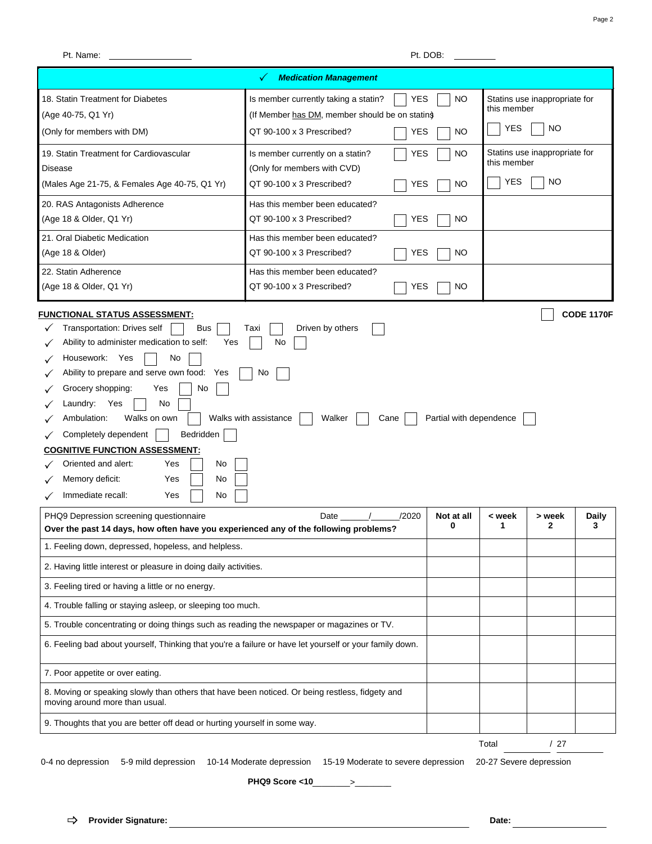| Pt. Name:                                                                                                                                                                                                                                                                                                                                                                                                                                      |                                                                                                                                                                     | Pt. DOB:                |                                                                         |                               |                   |
|------------------------------------------------------------------------------------------------------------------------------------------------------------------------------------------------------------------------------------------------------------------------------------------------------------------------------------------------------------------------------------------------------------------------------------------------|---------------------------------------------------------------------------------------------------------------------------------------------------------------------|-------------------------|-------------------------------------------------------------------------|-------------------------------|-------------------|
|                                                                                                                                                                                                                                                                                                                                                                                                                                                | <b>Medication Management</b>                                                                                                                                        |                         |                                                                         |                               |                   |
| 18. Statin Treatment for Diabetes<br>(Age 40-75, Q1 Yr)<br>(Only for members with DM)                                                                                                                                                                                                                                                                                                                                                          | <b>YES</b><br>Is member currently taking a statin?<br><b>NO</b><br>(If Member has DM, member should be on stating<br>QT 90-100 x 3 Prescribed?<br><b>YES</b><br>NO. |                         | Statins use inappropriate for<br>this member<br><b>YES</b><br><b>NO</b> |                               |                   |
| 19. Statin Treatment for Cardiovascular                                                                                                                                                                                                                                                                                                                                                                                                        | YES<br>Is member currently on a statin?                                                                                                                             | NO.                     |                                                                         | Statins use inappropriate for |                   |
| Disease                                                                                                                                                                                                                                                                                                                                                                                                                                        | (Only for members with CVD)                                                                                                                                         |                         | this member                                                             |                               |                   |
| (Males Age 21-75, & Females Age 40-75, Q1 Yr)                                                                                                                                                                                                                                                                                                                                                                                                  | QT 90-100 x 3 Prescribed?<br><b>YES</b>                                                                                                                             | <b>NO</b>               | <b>YES</b>                                                              | <b>NO</b>                     |                   |
| 20. RAS Antagonists Adherence<br>(Age 18 & Older, Q1 Yr)                                                                                                                                                                                                                                                                                                                                                                                       | Has this member been educated?<br>QT 90-100 x 3 Prescribed?<br><b>YES</b>                                                                                           | <b>NO</b>               |                                                                         |                               |                   |
| 21. Oral Diabetic Medication<br>(Age 18 & Older)                                                                                                                                                                                                                                                                                                                                                                                               | Has this member been educated?<br>QT 90-100 x 3 Prescribed?<br><b>YES</b>                                                                                           | NO.                     |                                                                         |                               |                   |
| 22. Statin Adherence<br>(Age 18 & Older, Q1 Yr)                                                                                                                                                                                                                                                                                                                                                                                                | Has this member been educated?<br>QT 90-100 x 3 Prescribed?<br><b>YES</b>                                                                                           | <b>NO</b>               |                                                                         |                               |                   |
| Transportation: Drives self<br><b>Bus</b><br>Ability to administer medication to self:<br>Yes<br>No<br>Housework: Yes<br>Ability to prepare and serve own food: Yes<br>Grocery shopping:<br>Yes<br>No<br>Laundry: Yes<br>No<br>Walks on own<br>Ambulation:<br>Completely dependent<br>Bedridden<br><b>COGNITIVE FUNCTION ASSESSMENT:</b><br>Oriented and alert:<br>Yes<br>No<br>Memory deficit:<br>Yes<br>No<br>Immediate recall:<br>Yes<br>No | Driven by others<br>Taxi<br>No<br>No<br>Walks with assistance<br>Walker<br>Cane                                                                                     | Partial with dependence |                                                                         |                               |                   |
| PHQ9 Depression screening questionnaire<br>Over the past 14 days, how often have you experienced any of the following problems?                                                                                                                                                                                                                                                                                                                | /2020<br>Date                                                                                                                                                       | Not at all<br>0         | < week<br>1                                                             | > week<br>2                   | <b>Daily</b><br>3 |
| 1. Feeling down, depressed, hopeless, and helpless.                                                                                                                                                                                                                                                                                                                                                                                            |                                                                                                                                                                     |                         |                                                                         |                               |                   |
| 2. Having little interest or pleasure in doing daily activities.                                                                                                                                                                                                                                                                                                                                                                               |                                                                                                                                                                     |                         |                                                                         |                               |                   |
| 3. Feeling tired or having a little or no energy.                                                                                                                                                                                                                                                                                                                                                                                              |                                                                                                                                                                     |                         |                                                                         |                               |                   |
| 4. Trouble falling or staying asleep, or sleeping too much.                                                                                                                                                                                                                                                                                                                                                                                    |                                                                                                                                                                     |                         |                                                                         |                               |                   |
| 5. Trouble concentrating or doing things such as reading the newspaper or magazines or TV.                                                                                                                                                                                                                                                                                                                                                     |                                                                                                                                                                     |                         |                                                                         |                               |                   |
| 6. Feeling bad about yourself, Thinking that you're a failure or have let yourself or your family down.                                                                                                                                                                                                                                                                                                                                        |                                                                                                                                                                     |                         |                                                                         |                               |                   |
| 7. Poor appetite or over eating.                                                                                                                                                                                                                                                                                                                                                                                                               |                                                                                                                                                                     |                         |                                                                         |                               |                   |
| 8. Moving or speaking slowly than others that have been noticed. Or being restless, fidgety and<br>moving around more than usual.                                                                                                                                                                                                                                                                                                              |                                                                                                                                                                     |                         |                                                                         |                               |                   |
| 9. Thoughts that you are better off dead or hurting yourself in some way.                                                                                                                                                                                                                                                                                                                                                                      |                                                                                                                                                                     |                         |                                                                         |                               |                   |
|                                                                                                                                                                                                                                                                                                                                                                                                                                                |                                                                                                                                                                     |                         | Total                                                                   | /27                           |                   |

0-4 no depression 5-9 mild depression 10-14 Moderate depression 15-19 Moderate to severe depression 20-27 Severe depression

**PHQ9 Score <10**\_\_\_\_\_\_\_\_>\_\_\_\_\_\_\_\_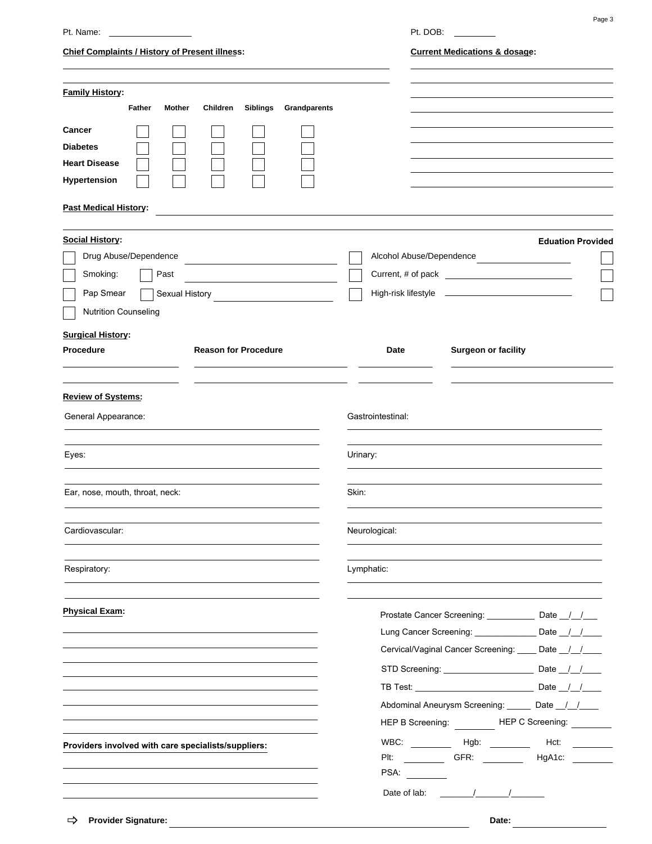| Pt. Name:                                                                                                                         | Pt. DOB:                                                                                                                                                                                                                                                                                                                    |
|-----------------------------------------------------------------------------------------------------------------------------------|-----------------------------------------------------------------------------------------------------------------------------------------------------------------------------------------------------------------------------------------------------------------------------------------------------------------------------|
| <b>Chief Complaints / History of Present illness:</b>                                                                             | <b>Current Medications &amp; dosage:</b>                                                                                                                                                                                                                                                                                    |
| <b>Family History:</b><br><b>Father</b><br><b>Siblings</b><br><b>Grandparents</b><br><b>Mother</b><br>Children                    |                                                                                                                                                                                                                                                                                                                             |
| <b>Cancer</b><br><b>Diabetes</b><br><b>Heart Disease</b><br>Hypertension                                                          |                                                                                                                                                                                                                                                                                                                             |
| <b>Past Medical History:</b>                                                                                                      |                                                                                                                                                                                                                                                                                                                             |
| <b>Social History:</b><br>Drug Abuse/Dependence<br>Smoking:<br>Past<br>Pap Smear<br>Sexual History<br><b>Nutrition Counseling</b> | <b>Eduation Provided</b><br>Alcohol Abuse/Dependence                                                                                                                                                                                                                                                                        |
| <b>Surgical History:</b><br><b>Reason for Procedure</b><br>Procedure                                                              | Surgeon or facility<br>Date                                                                                                                                                                                                                                                                                                 |
| <b>Review of Systems:</b>                                                                                                         |                                                                                                                                                                                                                                                                                                                             |
| General Appearance:                                                                                                               | Gastrointestinal:                                                                                                                                                                                                                                                                                                           |
| Eyes:                                                                                                                             | Urinary:                                                                                                                                                                                                                                                                                                                    |
| Ear, nose, mouth, throat, neck:                                                                                                   | Skin:                                                                                                                                                                                                                                                                                                                       |
| Cardiovascular:                                                                                                                   | Neurological:                                                                                                                                                                                                                                                                                                               |
| Respiratory:                                                                                                                      | Lymphatic:                                                                                                                                                                                                                                                                                                                  |
| <b>Physical Exam:</b>                                                                                                             | Prostate Cancer Screening: _____________ Date _/_/___<br>Lung Cancer Screening: ________________ Date _/_/____<br>Cervical/Vaginal Cancer Screening: ____ Date _/_/___                                                                                                                                                      |
|                                                                                                                                   |                                                                                                                                                                                                                                                                                                                             |
|                                                                                                                                   | Abdominal Aneurysm Screening: ______ Date _/_/___<br>HEP B Screening: HEP C Screening: ________                                                                                                                                                                                                                             |
| Providers involved with care specialists/suppliers:                                                                               | Plt: ______________ GFR: __________<br>HgA1c: ________                                                                                                                                                                                                                                                                      |
| $\Rightarrow$ Provider Signature:                                                                                                 | Date of lab: $\frac{1}{2}$ $\frac{1}{2}$ $\frac{1}{2}$ $\frac{1}{2}$ $\frac{1}{2}$ $\frac{1}{2}$ $\frac{1}{2}$ $\frac{1}{2}$ $\frac{1}{2}$ $\frac{1}{2}$ $\frac{1}{2}$ $\frac{1}{2}$ $\frac{1}{2}$ $\frac{1}{2}$ $\frac{1}{2}$ $\frac{1}{2}$ $\frac{1}{2}$ $\frac{1}{2}$ $\frac{1}{2}$ $\frac{1}{2}$ $\frac{1}{2}$<br>∩ate∙ |

Page 3